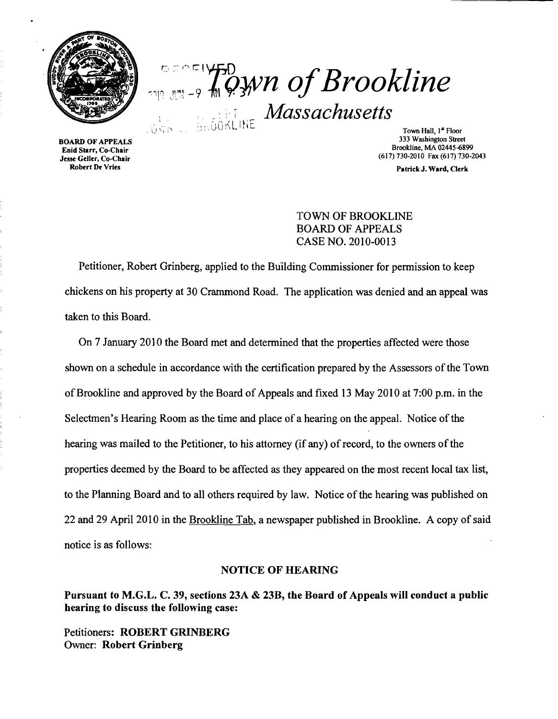

**EXPLUSED** WE OF Brookline : i' i *Massachusetts*  :  $\bigcup_{\mathcal{D} \in \mathcal{D}} \mathcal{D} \cap \mathcal{D} \setminus \mathcal{D} \setminus \mathcal{D} \setminus \mathcal{D}$  and  $\mathcal{D} \setminus \mathcal{D} \setminus \mathcal{D} \setminus \mathcal{D}$  and  $\mathcal{D} \setminus \mathcal{D} \setminus \mathcal{D} \setminus \mathcal{D} \setminus \mathcal{D} \setminus \mathcal{D} \setminus \mathcal{D}$ 

Enid Starr, Co-Chair Jesse Geller, Co-Chair Robert De Vries

BOARD OF APPEALS 333 Washington Street Brookline, MA 02445-6899 (617) 730-2010 Fax (617) 730-2043

Patrick J. Ward, Clerk

#### TOWN OF BROOKLINE BOARD OF APPEALS CASE NO. 2010-0013

Petitioner, Robert Grinberg, applied to the Building Commissioner for permission to keep chickens on his property at 30 Crammond Road. The application was denied and an appeal was taken to this Board.

On 7 January 2010 the Board met and determined that the properties affected were those shown on a schedule in accordance with the certification prepared by the Assessors of the Town ofBrookline and approved by the Board of Appeals and fixed 13 May 2010 at 7:00 p.m. in the Selectmen's Hearing Room as the time and place of a hearing on the appeal. Notice of the hearing was mailed to the Petitioner, to his attorney (if any) of record, to the owners of the properties deemed by the Board to be affected as they appeared on the most recent local tax list, to the Planning Board and to all others required by law. Notice of the hearing was published on 22 and 29 April 2010 in the Brookline Tab, a newspaper published in Brookline. A copy of said notice is as follows:

#### NOTICE OF HEARING

Pursuant to M.G.L. C. 39, sections 23A & 23B, the Board of Appeals will conduct a public hearing to discuss the following case:

Petitioners: ROBERT GRINBERG Owner: Robert Grinberg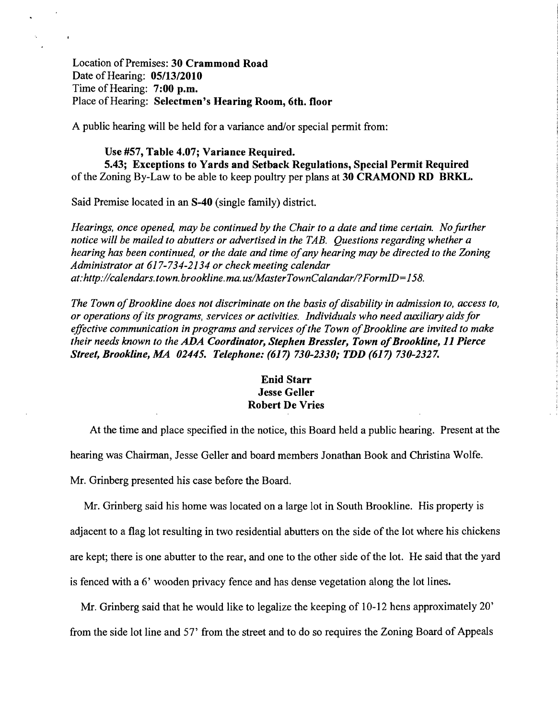Location of Premises: 30 Crammond Road Date of Hearing: *05/13/2010*  Time of Hearing: 7:00 p.m. Place of Hearing: Selectmen's Hearing Room, 6th. floor

A public hearing will be held for a variance and/or special permit from:

#### Use #57, Table 4.07; Variance Required.

5.43; Exceptions to Yards and Setback Regulations, Special Permit Required of the Zoning By-Law to be able to keep poultry per plans at 30 CRAMOND RD BRKL.

Said Premise located in an S-40 (single family) district.

*Hearings, once opened, may be continued by the Chair to a date and time certain. No further notice will be mailed to abutters or advertised in the TAB. Questions regarding whether a hearing has been continued, or the date and time ofany hearing may be directed to the Zoning Administrator at* 617-734-2134 *or check meeting calendar*  at:http://calendars.town.brookline.ma.us/MasterTownCalandar/?FormID=158.

*The Town of Brookline does not discriminate on the basis of disability in admission to, access to, or operations ofits programs, services or activities. Individuals who need auxiliary aidsfor*  effective communication in programs and services of the Town of Brookline are invited to make *their needs known to the* ADA *Coordinator, Stephen Bressler, Town ofBrookline,* 11 *Pierce Street, Brookline, MA 02445. Telephone:* (617) *730-2330,' TDD* (617) *730-2327.* 

#### Enid Starr Jesse Geller Robert De Vries

At the time and place specified in the notice, this Board held a public hearing. Present at the hearing was Chairman, Jesse Geller and board members Jonathan Book and Christina Wolfe. Mr. Grinberg presented his case before the Board.

Mr. Grinberg said his home was located on a large lot in South Brookline. His property is adjacent to a flag lot resulting in two residential abutters on the side of the lot where his chickens are kept; there is one abutter to the rear, and one to the other side of the lot. He said that the yard is fenced with a 6' wooden privacy fence and has dense vegetation along the lot lines.

Mr. Grinberg said that he would like to legalize the keeping of 10-12 hens approximately 20' from the side lot line and 57' from the street and to do so requires the Zoning Board of Appeals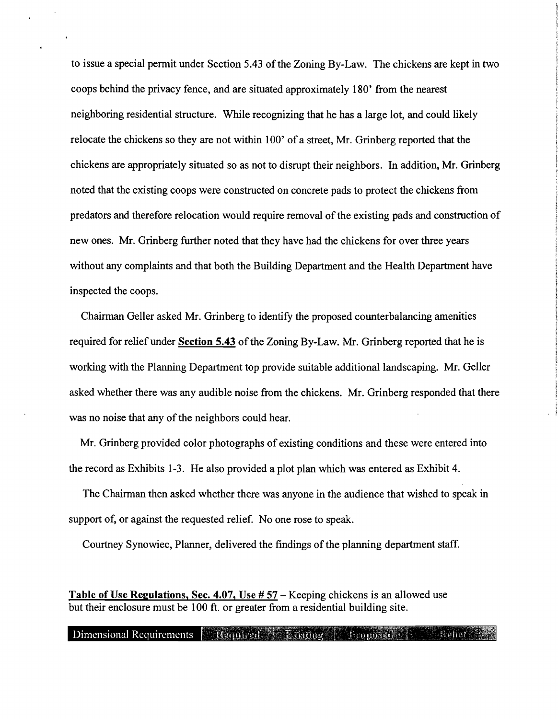to issue a special permit under Section 5.43 of the Zoning By-Law. The chickens are kept in two coops behind the privacy fence, and are situated approximately 180' from the nearest neighboring residential structure. While recognizing that he has a large lot, and could likely relocate the chickens so they are not within 100' of a street, Mr. Grinberg reported that the chickens are appropriately situated so as not to disrupt their neighbors. In addition, Mr. Grinberg noted that the existing coops were constructed on concrete pads to protect the chickens from predators and therefore relocation would require removal of the existing pads and construction of new ones. Mr. Grinberg further noted that they have had the chickens for over three years without any complaints and that both the Building Department and the Health Department have inspected the coops.

Chairman Geller asked Mr. Grinberg to identify the proposed counterbalancing amenities required for relief under Section 5.43 of the Zoning By-Law. Mr. Grinberg reported that he is working with the Planning Department top provide suitable additional landscaping. Mr. Geller asked whether there was any audible noise from the chickens. Mr. Grinberg responded that there was no noise that any of the neighbors could hear.

Mr. Grinberg provided color photographs of existing conditions and these were entered into the record as Exhibits 1-3. He also provided a plot plan which was entered as Exhibit 4.

The Chairman then asked whether there was anyone in the audience that wished to speak in support of, or against the requested relief. No one rose to speak.

Courtney Synowiec, Planner, delivered the findings of the planning department staff.

Table of Use Regulations, Sec. 4.07, Use # 57 – Keeping chickens is an allowed use but their enclosure must be 100 ft. or greater from a residential building site.

#### Dimensional Requirements Required E Evisting Proposed P Reflect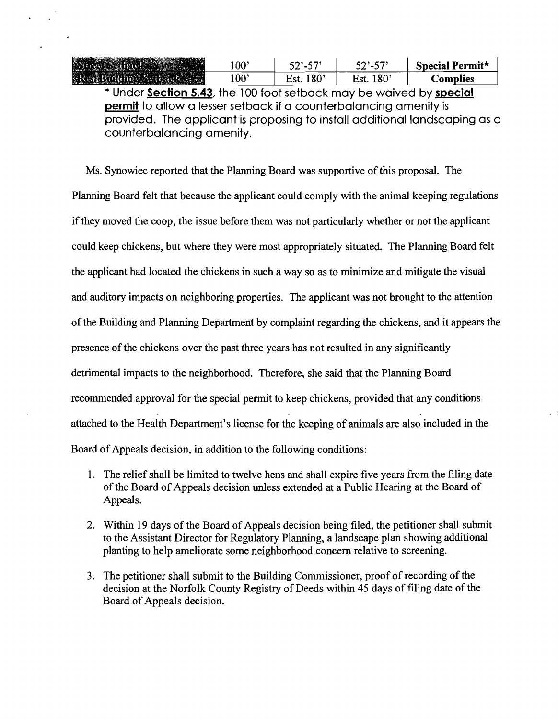| Street Setback      | 00           |                      |                          | Special Permit* |
|---------------------|--------------|----------------------|--------------------------|-----------------|
| Residualing Serback | $00^{\circ}$ | $180^{\circ}$<br>∺st | 18 <sup>c</sup><br>r.st. | . .omnlies      |

\* Under **Section 5.43,** the 100 foot setback may be waived by **special permit** to allow a lesser setback if a counterbalancing amenity is provided. The applicant is proposing to install additional landscaping as a counterbalancing amenity.

Ms. Synowiec reported that the Planning Board was supportive of this proposal. The Planning Board felt that because the applicant could comply with the animal keeping regulations if they moved the coop, the issue before them was not particularly whether or not the applicant could keep chickens, but where they were most appropriately situated. The Planning Board felt the applicant had located the chickens in such a way so as to minimize and mitigate the visual and auditory impacts on neighboring properties. The applicant was not brought to the attention ofthe Building and Planning Department by complaint regarding the chickens, and it appears the presence of the chickens over the past three years has not resulted in any significantly detrimental impacts to the neighborhood. Therefore, she said that the Planning Board recommended approval for the special permit to keep chickens, provided that any conditions attached to the Health Department's license for the keeping of animals are also included in the Board of Appeals decision, in addition to the following conditions:

- 1. The relief shall be limited to twelve hens and shall expire five years from the filing date of the Board of Appeals decision unless extended at a Public Hearing at the Board of Appeals.
- 2. Within 19 days of the Board of Appeals decision being filed, the petitioner shall submit to the Assistant Director for Regulatory Planning, a landscape plan showing additional planting to help ameliorate some neighborhood concern relative to screening.
- 3. The petitioner shall submit to the Building Commissioner, proof of recording of the decision at the Norfolk County Registry of Deeds within 45 days of filing date of the Board of Appeals decision.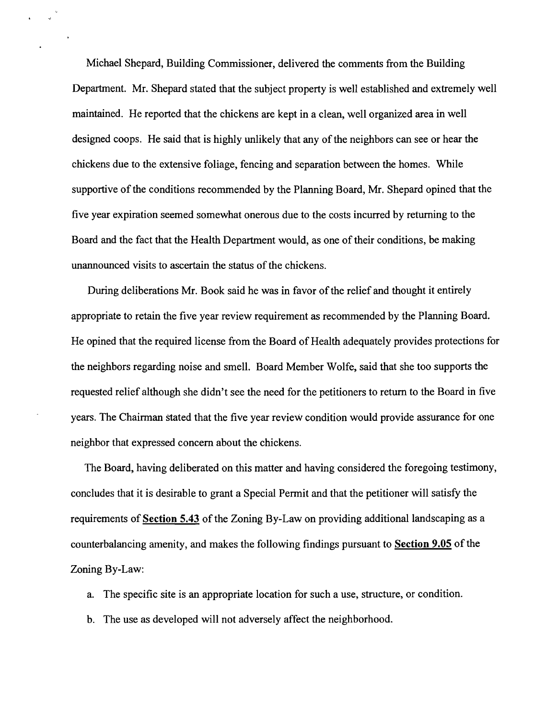Michael Shepard, Building Commissioner, delivered the comments from the Building Department. Mr. Shepard stated that the subject property is well established and extremely well maintained. He reported that the chickens are kept in a clean, well organized area in well designed coops. He said that is highly unlikely that any of the neighbors can see or hear the chickens due to the extensive foliage, fencing and separation between the homes. While supportive of the conditions recommended by the Planning Board, Mr. Shepard opined that the five year expiration seemed somewhat onerous due to the costs incurred by returning to the Board and the fact that the Health Department would, as one of their conditions, be making unannounced visits to ascertain the status of the chickens.

 $\sim$ 

During deliberations Mr. Book said he was in favor of the relief and thought it entirely appropriate to retain the five year review requirement as recommended by the Planning Board. He opined that the required license from the Board of Health adequately provides protections for the neighbors regarding noise and smell. Board Member Wolfe, said that she too supports the requested relief although she didn't see the need for the petitioners to return to the Board in five years. The Chairman stated that the five year review condition would provide assurance for one neighbor that expressed concern about the chickens.

The Board, having deliberated on this matter and having considered the foregoing testimony, concludes that it is desirable to grant a Special Permit and that the petitioner will satisfy the requirements of **Section 5.43** of the Zoning By-Law on providing additional landscaping as a counterbalancing amenity, and makes the following findings pursuant to **Section 9.05** of the Zoning By-Law:

- a. The specific site is an appropriate location for such a use, structure, or condition.
- b. The use as developed will not adversely affect the neighborhood.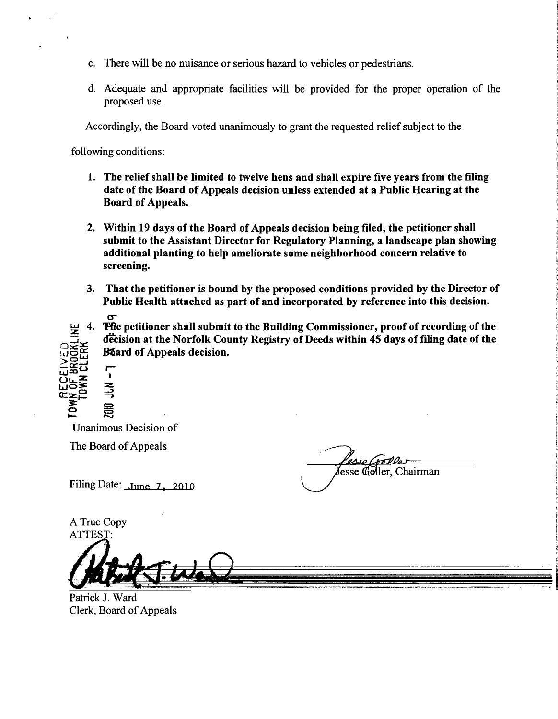- c. There will be no nuisance or serious hazard to vehicles or pedestrians.
- d. Adequate and appropriate facilities will be provided for the proper operation of the proposed use.

Accordingly, the Board voted unanimously to grant the requested relief subject to the

following conditions:

- 1. The relief shall be limited to twelve hens and shall expire five years from the filing date of the Board of Appeals decision unless extended at a Public Hearing at the Board of Appeals.
- 2. Within 19 days of the Board of Appeals decision being filed, the petitioner shall submit to the Assistant Director for Regulatory Planning, a landscape plan showing additional planting to help ameliorate some neighborhood concern relative to screening.
- 3. That the petitioner is bound by the proposed conditions provided by the Director of Public Health attached as part of and incorporated by reference into this decision.
- $\sigma$ **The petitioner shall submit to the Building Commissioner, proof of recording of the** decision at the Norfolk County Registry of Deeds within 45 days of filing date of the B& ard of Appeals decision. \_0::: >o~ ,

 $\overline{e}$  and Unanimous Decision of

 $\mathbf{a}$ 

The Board of Appeals

 $\mathscr{L}_{\mathscr{A}}\left( \mathscr{D}\mathscr{D}\mathscr{D}\right) =$ esse Geller. Chairman The Board of Appeals<br>Filing Date: June 7, 2010

A True Copy **ATTEST** 

<u>ក្រូង</u>ិ៍

 $\overline{\mathbb{C}}$   $\overline{\mathbb{E}}$   $\overline{\mathbb{E}}$   $\overline{\mathbb{E}}$   $\overline{\mathbb{E}}$ rze: ≨'



Clerk, Board of Appeals